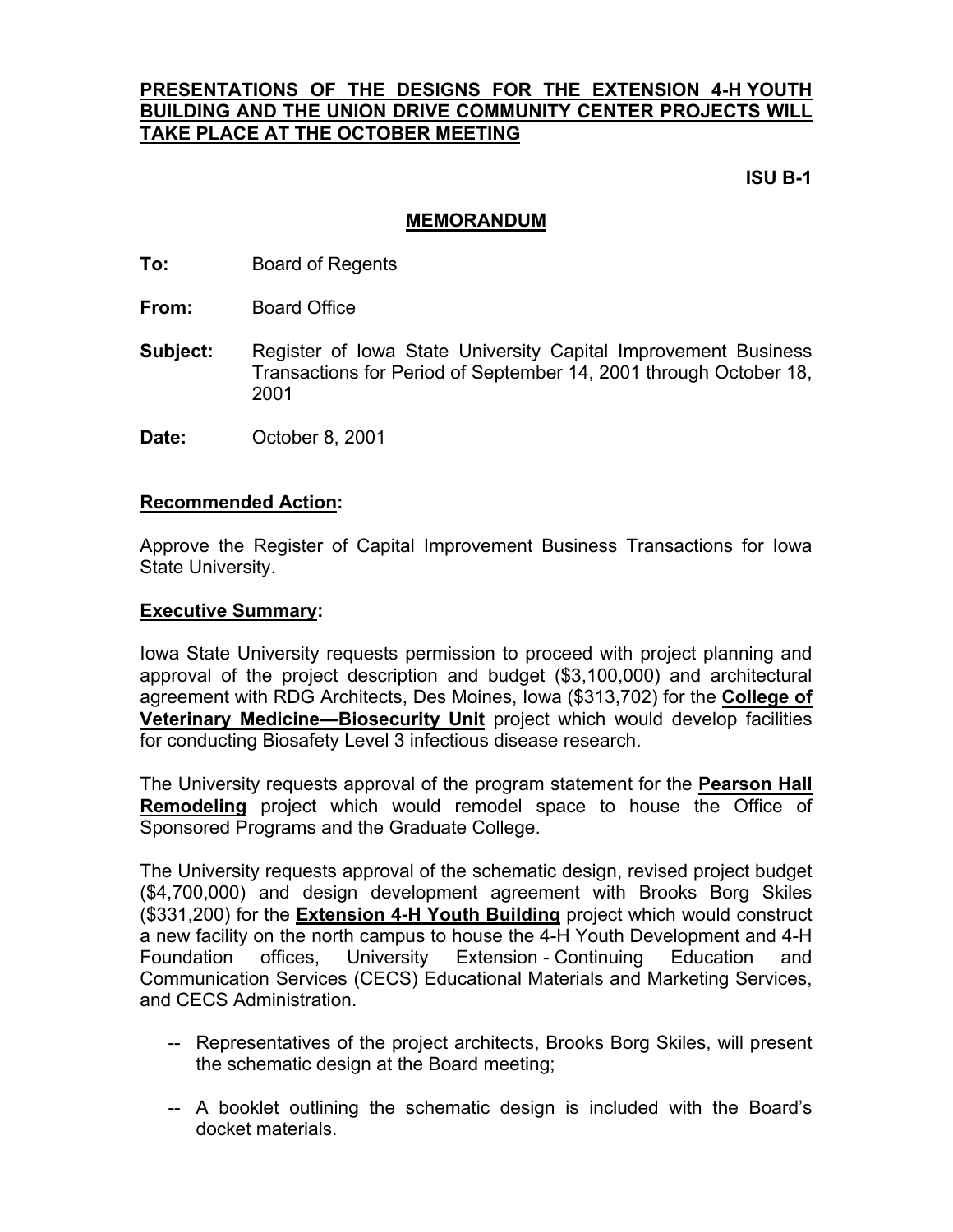# **PRESENTATIONS OF THE DESIGNS FOR THE EXTENSION 4-H YOUTH BUILDING AND THE UNION DRIVE COMMUNITY CENTER PROJECTS WILL TAKE PLACE AT THE OCTOBER MEETING**

 **ISU B-1** 

## **MEMORANDUM**

- **To:** Board of Regents
- **From:** Board Office
- **Subject:** Register of Iowa State University Capital Improvement Business Transactions for Period of September 14, 2001 through October 18, 2001
- **Date:** October 8, 2001

### **Recommended Action:**

Approve the Register of Capital Improvement Business Transactions for Iowa State University.

### **Executive Summary:**

Iowa State University requests permission to proceed with project planning and approval of the project description and budget (\$3,100,000) and architectural agreement with RDG Architects, Des Moines, Iowa (\$313,702) for the **College of Veterinary Medicine—Biosecurity Unit** project which would develop facilities for conducting Biosafety Level 3 infectious disease research.

The University requests approval of the program statement for the **Pearson Hall Remodeling** project which would remodel space to house the Office of Sponsored Programs and the Graduate College.

The University requests approval of the schematic design, revised project budget (\$4,700,000) and design development agreement with Brooks Borg Skiles (\$331,200) for the **Extension 4-H Youth Building** project which would construct a new facility on the north campus to house the 4-H Youth Development and 4-H Foundation offices, University Extension - Continuing Education and Communication Services (CECS) Educational Materials and Marketing Services, and CECS Administration.

- -- Representatives of the project architects, Brooks Borg Skiles, will present the schematic design at the Board meeting;
- -- A booklet outlining the schematic design is included with the Board's docket materials.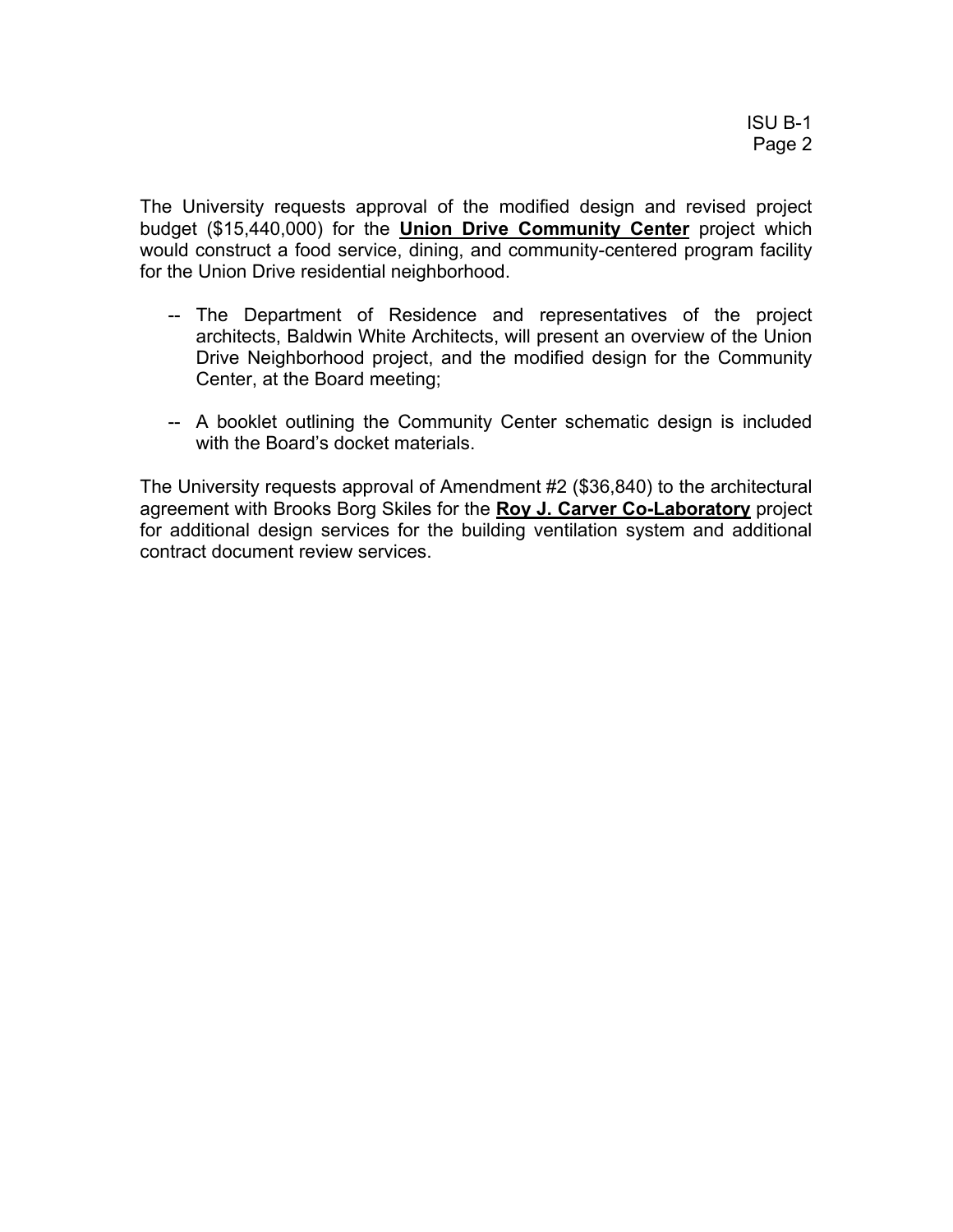The University requests approval of the modified design and revised project budget (\$15,440,000) for the **Union Drive Community Center** project which would construct a food service, dining, and community-centered program facility for the Union Drive residential neighborhood.

- -- The Department of Residence and representatives of the project architects, Baldwin White Architects, will present an overview of the Union Drive Neighborhood project, and the modified design for the Community Center, at the Board meeting;
- -- A booklet outlining the Community Center schematic design is included with the Board's docket materials.

The University requests approval of Amendment #2 (\$36,840) to the architectural agreement with Brooks Borg Skiles for the **Roy J. Carver Co-Laboratory** project for additional design services for the building ventilation system and additional contract document review services.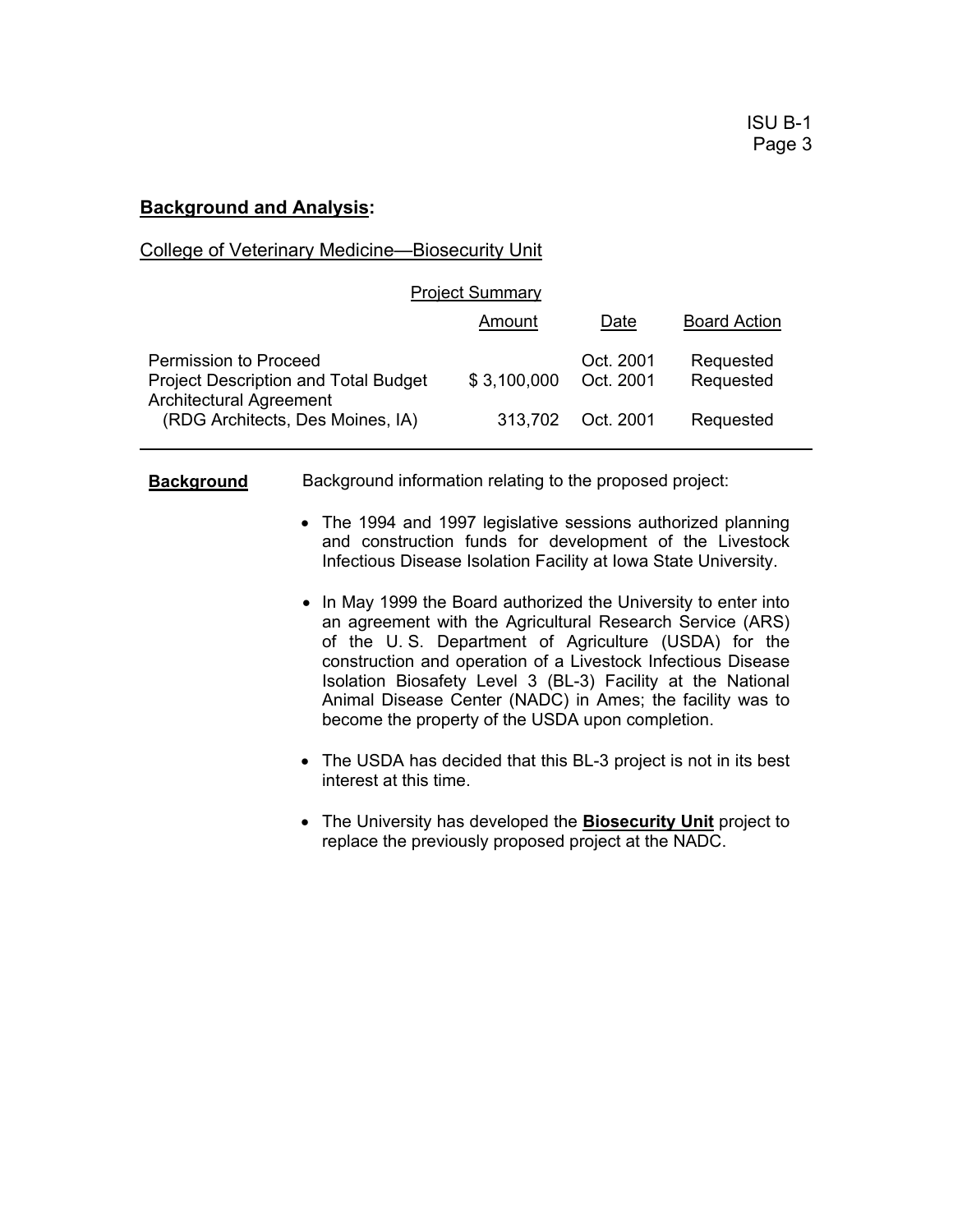## **Background and Analysis:**

## College of Veterinary Medicine—Biosecurity Unit

| <b>Project Summary</b>                                                                                 |             |                        |                        |  |
|--------------------------------------------------------------------------------------------------------|-------------|------------------------|------------------------|--|
|                                                                                                        | Amount      | Date                   | <b>Board Action</b>    |  |
| Permission to Proceed<br><b>Project Description and Total Budget</b><br><b>Architectural Agreement</b> | \$3,100,000 | Oct. 2001<br>Oct. 2001 | Requested<br>Requested |  |
| (RDG Architects, Des Moines, IA)                                                                       | 313,702     | Oct. 2001              | Requested              |  |

**Background** Background information relating to the proposed project:

- The 1994 and 1997 legislative sessions authorized planning and construction funds for development of the Livestock Infectious Disease Isolation Facility at Iowa State University.
- In May 1999 the Board authorized the University to enter into an agreement with the Agricultural Research Service (ARS) of the U. S. Department of Agriculture (USDA) for the construction and operation of a Livestock Infectious Disease Isolation Biosafety Level 3 (BL-3) Facility at the National Animal Disease Center (NADC) in Ames; the facility was to become the property of the USDA upon completion.
- The USDA has decided that this BL-3 project is not in its best interest at this time.
- The University has developed the **Biosecurity Unit** project to replace the previously proposed project at the NADC.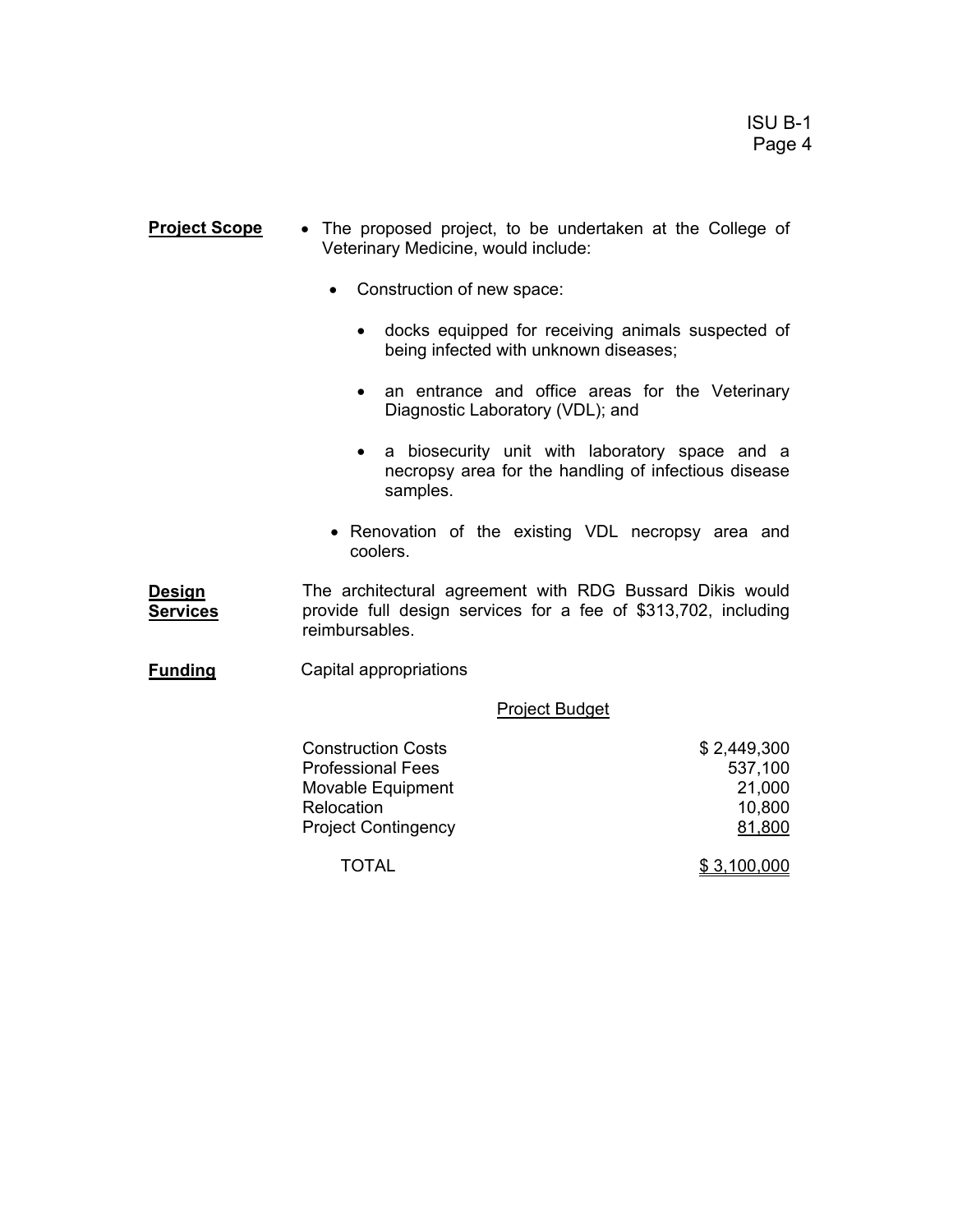- **Project Scope** The proposed project, to be undertaken at the College of Veterinary Medicine, would include:
	- Construction of new space:
		- docks equipped for receiving animals suspected of being infected with unknown diseases;
		- an entrance and office areas for the Veterinary Diagnostic Laboratory (VDL); and
		- a biosecurity unit with laboratory space and a necropsy area for the handling of infectious disease samples.
	- Renovation of the existing VDL necropsy area and coolers.

**Design Services** The architectural agreement with RDG Bussard Dikis would provide full design services for a fee of \$313,702, including reimbursables.

**Funding** Capital appropriations

Project Budget

| <b>Construction Costs</b>  | \$2,449,300 |
|----------------------------|-------------|
| <b>Professional Fees</b>   | 537,100     |
| Movable Equipment          | 21,000      |
| Relocation                 | 10,800      |
| <b>Project Contingency</b> | 81,800      |
| TOTAL                      | \$3,100,000 |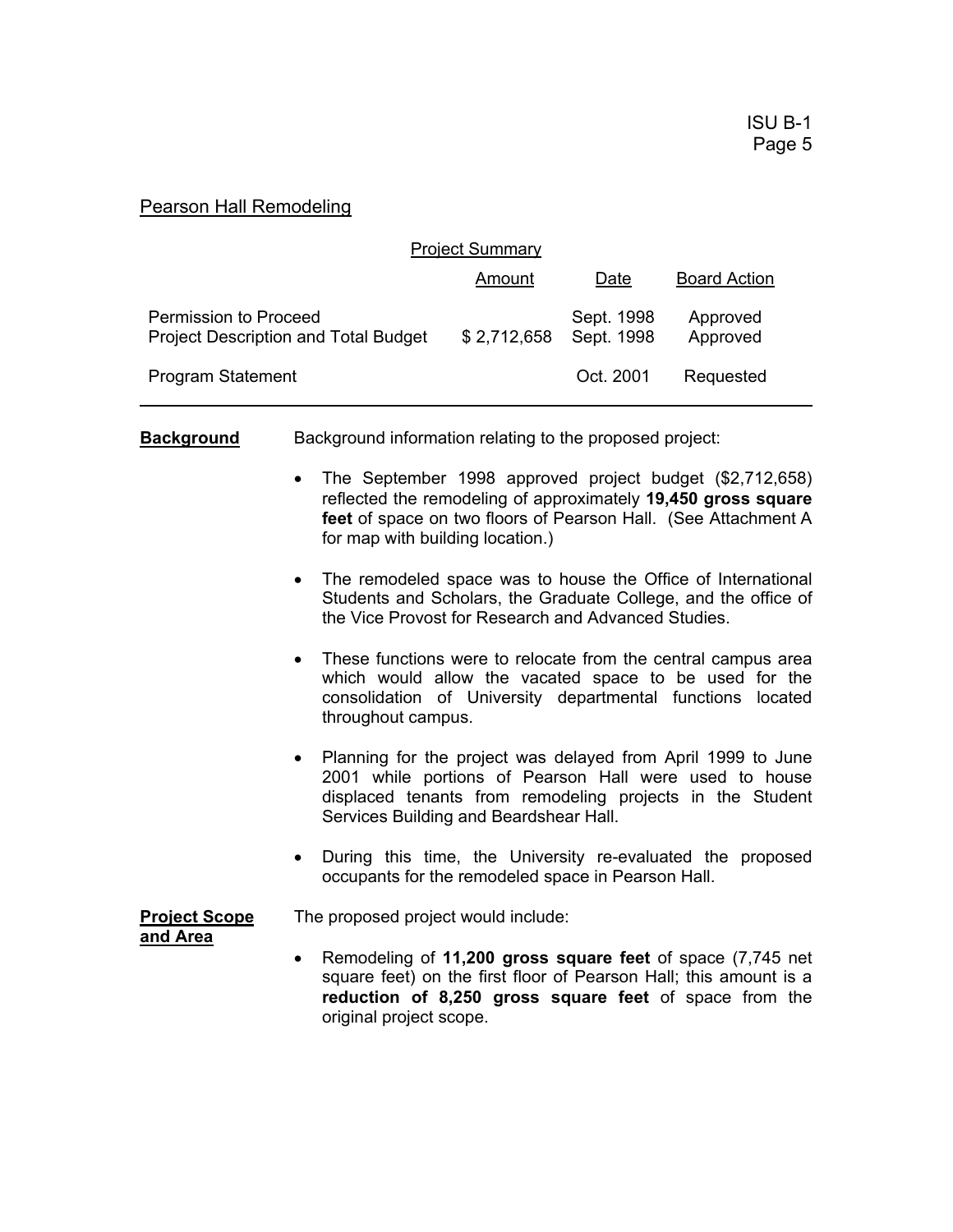## Pearson Hall Remodeling

| <b>Project Summary</b>                                               |             |                          |                      |  |
|----------------------------------------------------------------------|-------------|--------------------------|----------------------|--|
|                                                                      | Amount      | Date                     | <b>Board Action</b>  |  |
| Permission to Proceed<br><b>Project Description and Total Budget</b> | \$2,712,658 | Sept. 1998<br>Sept. 1998 | Approved<br>Approved |  |
| <b>Program Statement</b>                                             |             | Oct. 2001                | Requested            |  |

**Background** Background information relating to the proposed project:

- The September 1998 approved project budget (\$2,712,658) reflected the remodeling of approximately **19,450 gross square feet** of space on two floors of Pearson Hall. (See Attachment A for map with building location.)
- The remodeled space was to house the Office of International Students and Scholars, the Graduate College, and the office of the Vice Provost for Research and Advanced Studies.
- These functions were to relocate from the central campus area which would allow the vacated space to be used for the consolidation of University departmental functions located throughout campus.
- Planning for the project was delayed from April 1999 to June 2001 while portions of Pearson Hall were used to house displaced tenants from remodeling projects in the Student Services Building and Beardshear Hall.
- During this time, the University re-evaluated the proposed occupants for the remodeled space in Pearson Hall.

**Project Scope** The proposed project would include:

- **and Area**
- Remodeling of **11,200 gross square feet** of space (7,745 net square feet) on the first floor of Pearson Hall; this amount is a **reduction of 8,250 gross square feet** of space from the original project scope.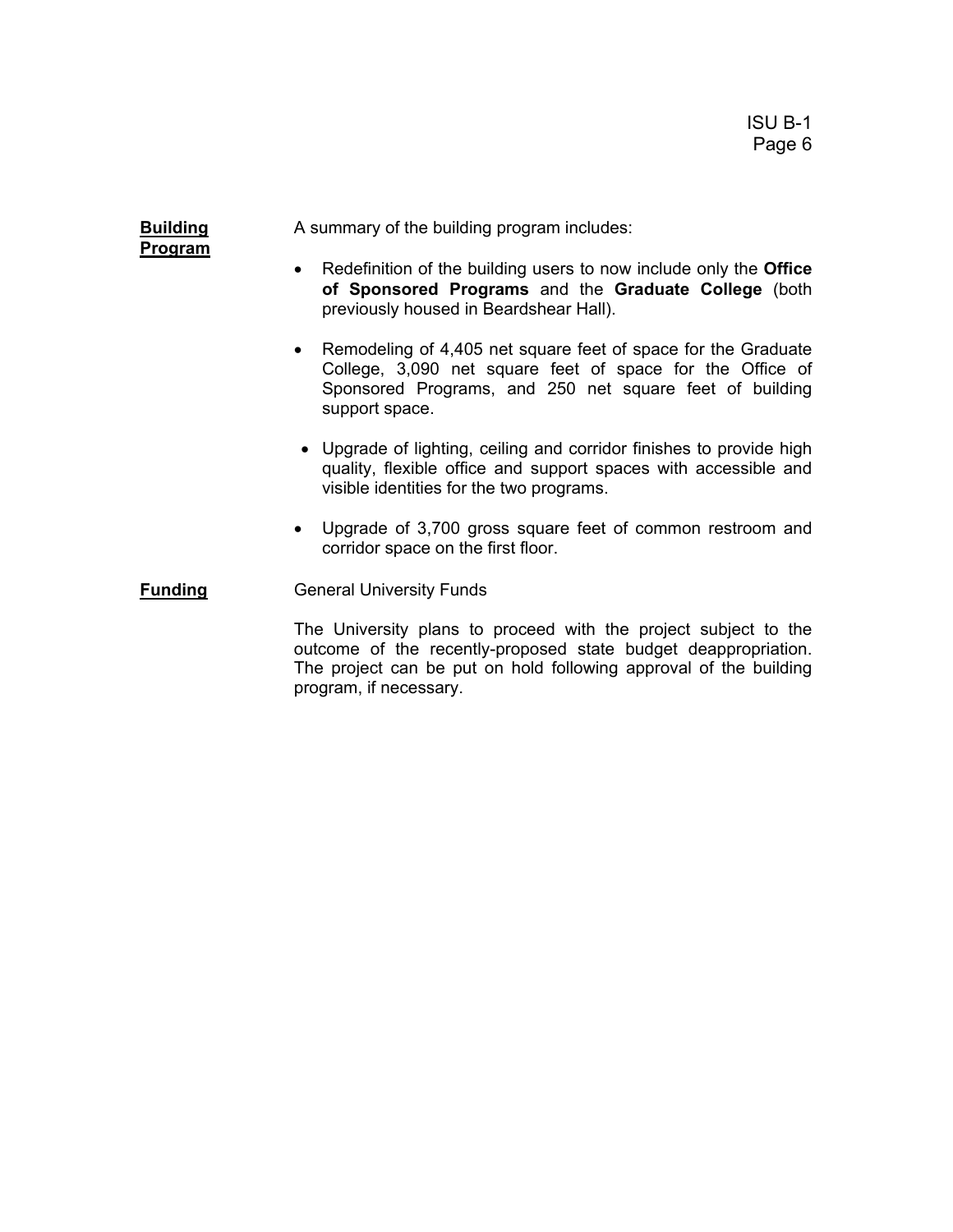**Program**

**Building** A summary of the building program includes:

- Redefinition of the building users to now include only the **Office of Sponsored Programs** and the **Graduate College** (both previously housed in Beardshear Hall).
- Remodeling of 4,405 net square feet of space for the Graduate College, 3,090 net square feet of space for the Office of Sponsored Programs, and 250 net square feet of building support space.
- Upgrade of lighting, ceiling and corridor finishes to provide high quality, flexible office and support spaces with accessible and visible identities for the two programs.
- Upgrade of 3,700 gross square feet of common restroom and corridor space on the first floor.

**Funding General University Funds** 

 The University plans to proceed with the project subject to the outcome of the recently-proposed state budget deappropriation. The project can be put on hold following approval of the building program, if necessary.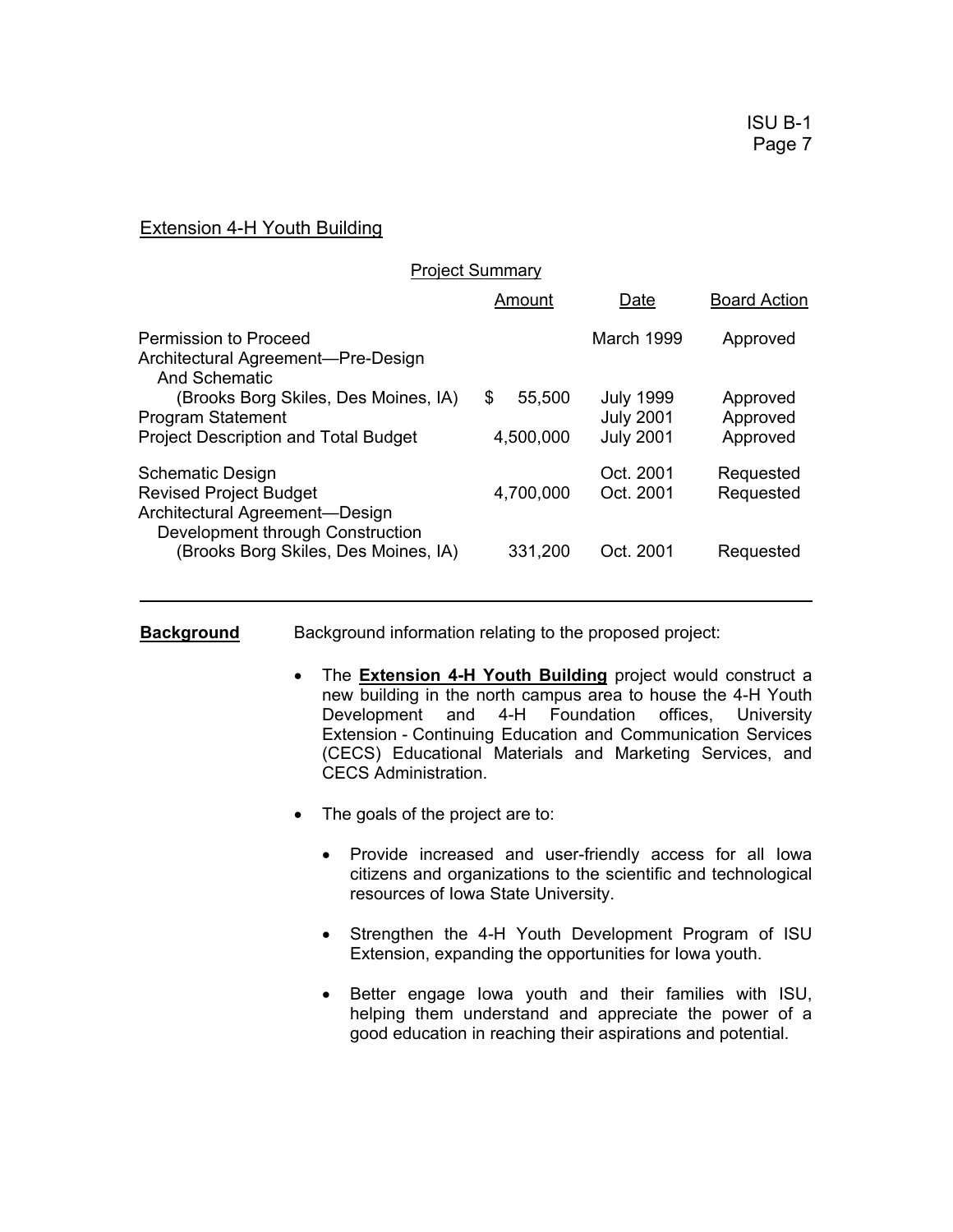## Extension 4-H Youth Building

| <b>Project Summary</b>                                                                                          |                           |                                                          |                                  |
|-----------------------------------------------------------------------------------------------------------------|---------------------------|----------------------------------------------------------|----------------------------------|
|                                                                                                                 | Amount                    | Date                                                     | <b>Board Action</b>              |
| <b>Permission to Proceed</b><br>Architectural Agreement—Pre-Design<br><b>And Schematic</b>                      |                           | March 1999                                               | Approved                         |
| (Brooks Borg Skiles, Des Moines, IA)<br><b>Program Statement</b><br><b>Project Description and Total Budget</b> | \$<br>55,500<br>4,500,000 | <b>July 1999</b><br><b>July 2001</b><br><b>July 2001</b> | Approved<br>Approved<br>Approved |
| <b>Schematic Design</b><br><b>Revised Project Budget</b><br>Architectural Agreement-Design                      | 4,700,000                 | Oct. 2001<br>Oct. 2001                                   | Requested<br>Requested           |
| Development through Construction<br>(Brooks Borg Skiles, Des Moines, IA)                                        | 331,200                   | Oct. 2001                                                | Requested                        |

**Background** Background information relating to the proposed project:

- The **Extension 4-H Youth Building** project would construct a new building in the north campus area to house the 4-H Youth Development and 4-H Foundation offices, University Extension - Continuing Education and Communication Services (CECS) Educational Materials and Marketing Services, and CECS Administration.
- The goals of the project are to:
	- Provide increased and user-friendly access for all Iowa citizens and organizations to the scientific and technological resources of Iowa State University.
	- Strengthen the 4-H Youth Development Program of ISU Extension, expanding the opportunities for Iowa youth.
	- Better engage Iowa youth and their families with ISU, helping them understand and appreciate the power of a good education in reaching their aspirations and potential.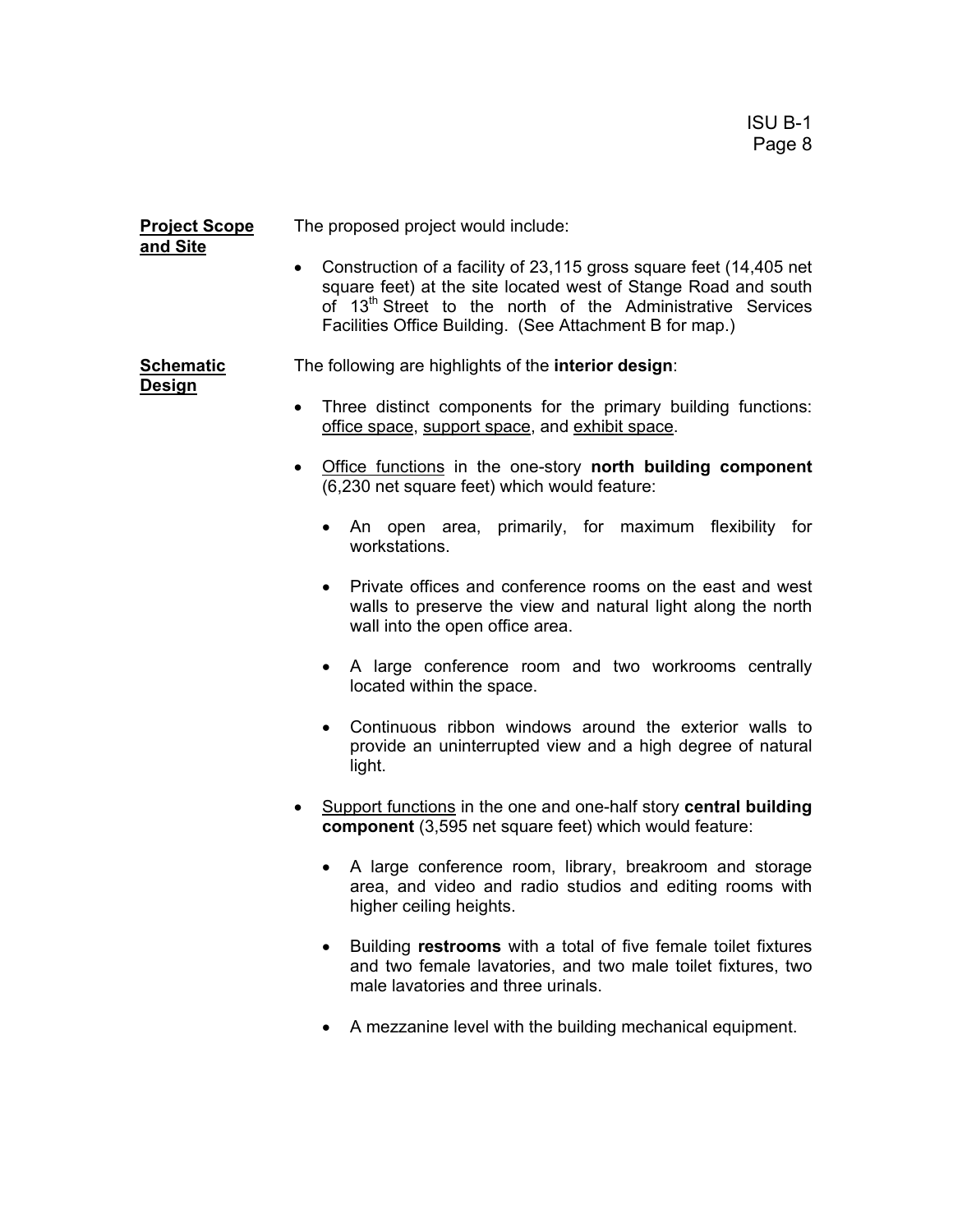#### **Project Scope** The proposed project would include: **and Site**

• Construction of a facility of 23,115 gross square feet (14,405 net square feet) at the site located west of Stange Road and south of 13<sup>th</sup> Street to the north of the Administrative Services Facilities Office Building. (See Attachment B for map.)

**Schematic** The following are highlights of the **interior design**:

#### **Design**

• Three distinct components for the primary building functions: office space, support space, and exhibit space.

- Office functions in the one-story **north building component** (6,230 net square feet) which would feature:
	- An open area, primarily, for maximum flexibility for workstations.
	- Private offices and conference rooms on the east and west walls to preserve the view and natural light along the north wall into the open office area.
	- A large conference room and two workrooms centrally located within the space.
	- Continuous ribbon windows around the exterior walls to provide an uninterrupted view and a high degree of natural light.
- Support functions in the one and one-half story **central building component** (3,595 net square feet) which would feature:
	- A large conference room, library, breakroom and storage area, and video and radio studios and editing rooms with higher ceiling heights.
	- Building **restrooms** with a total of five female toilet fixtures and two female lavatories, and two male toilet fixtures, two male lavatories and three urinals.
	- A mezzanine level with the building mechanical equipment.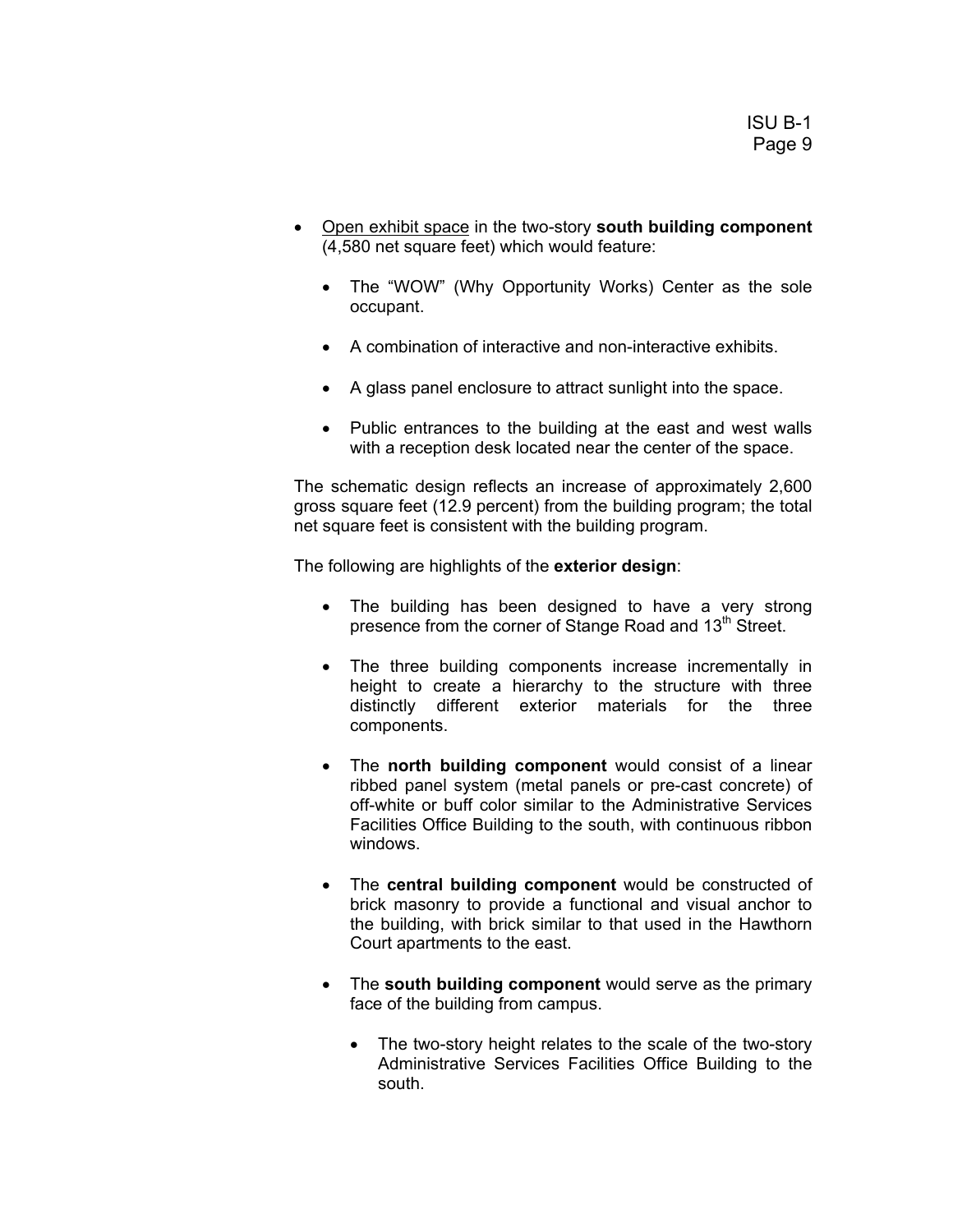- Open exhibit space in the two-story **south building component** (4,580 net square feet) which would feature:
	- The "WOW" (Why Opportunity Works) Center as the sole occupant.
	- A combination of interactive and non-interactive exhibits.
	- A glass panel enclosure to attract sunlight into the space.
	- Public entrances to the building at the east and west walls with a reception desk located near the center of the space.

The schematic design reflects an increase of approximately 2,600 gross square feet (12.9 percent) from the building program; the total net square feet is consistent with the building program.

The following are highlights of the **exterior design**:

- The building has been designed to have a very strong presence from the corner of Stange Road and 13<sup>th</sup> Street.
- The three building components increase incrementally in height to create a hierarchy to the structure with three distinctly different exterior materials for the three components.
- The **north building component** would consist of a linear ribbed panel system (metal panels or pre-cast concrete) of off-white or buff color similar to the Administrative Services Facilities Office Building to the south, with continuous ribbon windows.
- The **central building component** would be constructed of brick masonry to provide a functional and visual anchor to the building, with brick similar to that used in the Hawthorn Court apartments to the east.
- The **south building component** would serve as the primary face of the building from campus.
	- The two-story height relates to the scale of the two-story Administrative Services Facilities Office Building to the south.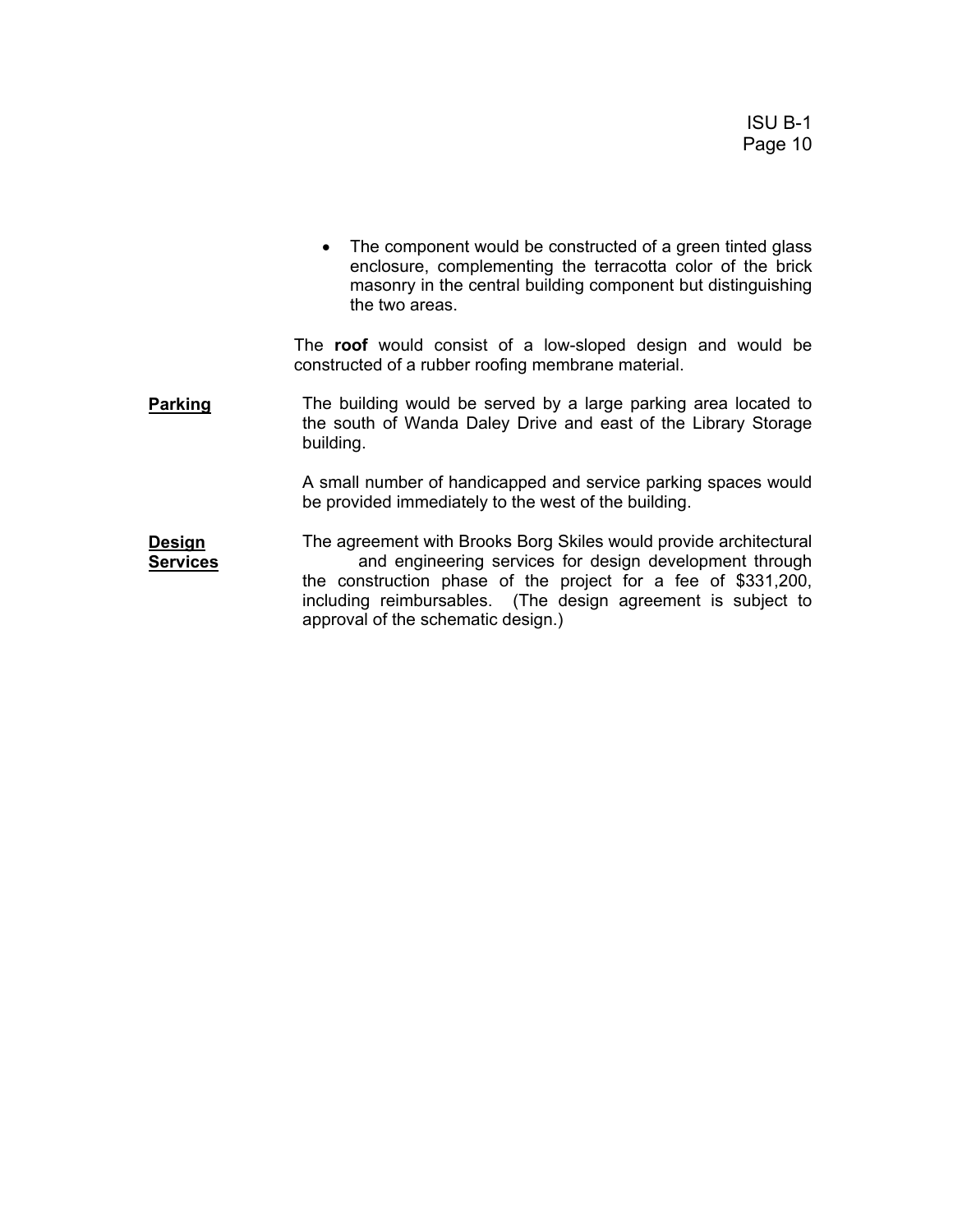• The component would be constructed of a green tinted glass enclosure, complementing the terracotta color of the brick masonry in the central building component but distinguishing the two areas.

 The **roof** would consist of a low-sloped design and would be constructed of a rubber roofing membrane material.

**Parking** The building would be served by a large parking area located to the south of Wanda Daley Drive and east of the Library Storage building.

> A small number of handicapped and service parking spaces would be provided immediately to the west of the building.

**Design Services** The agreement with Brooks Borg Skiles would provide architectural and engineering services for design development through the construction phase of the project for a fee of \$331,200, including reimbursables. (The design agreement is subject to approval of the schematic design.)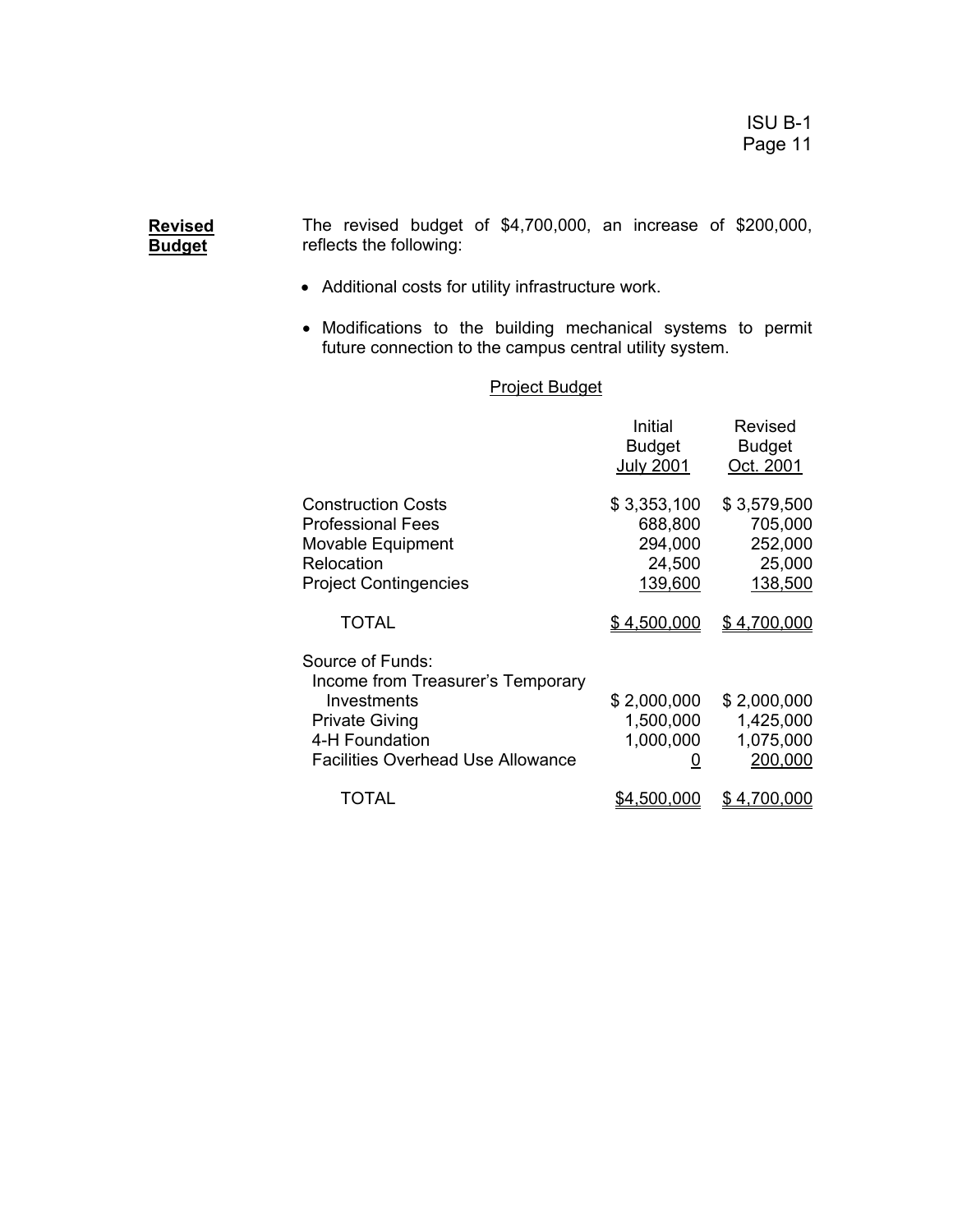The revised budget of \$4,700,000, an increase of \$200,000, reflects the following:

• Additional costs for utility infrastructure work.

**Revised Budget**

> • Modifications to the building mechanical systems to permit future connection to the campus central utility system.

## Project Budget

|                                                                                                                                                             | Initial<br><b>Budget</b><br><b>July 2001</b>           | Revised<br><b>Budget</b><br>Oct. 2001                  |
|-------------------------------------------------------------------------------------------------------------------------------------------------------------|--------------------------------------------------------|--------------------------------------------------------|
| <b>Construction Costs</b><br><b>Professional Fees</b><br>Movable Equipment<br>Relocation<br><b>Project Contingencies</b>                                    | \$3,353,100<br>688,800<br>294,000<br>24,500<br>139,600 | \$3,579,500<br>705,000<br>252,000<br>25,000<br>138,500 |
| TOTAL                                                                                                                                                       | <u>\$4,500,000</u>                                     | \$4,700,000                                            |
| Source of Funds:<br>Income from Treasurer's Temporary<br>Investments<br><b>Private Giving</b><br>4-H Foundation<br><b>Facilities Overhead Use Allowance</b> | \$2,000,000<br>1,500,000<br>1,000,000<br>U             | \$2,000,000<br>1,425,000<br>1,075,000<br>200,000       |
| TOTAL                                                                                                                                                       | \$4.500.0                                              | 4.1<br><u>00.000</u>                                   |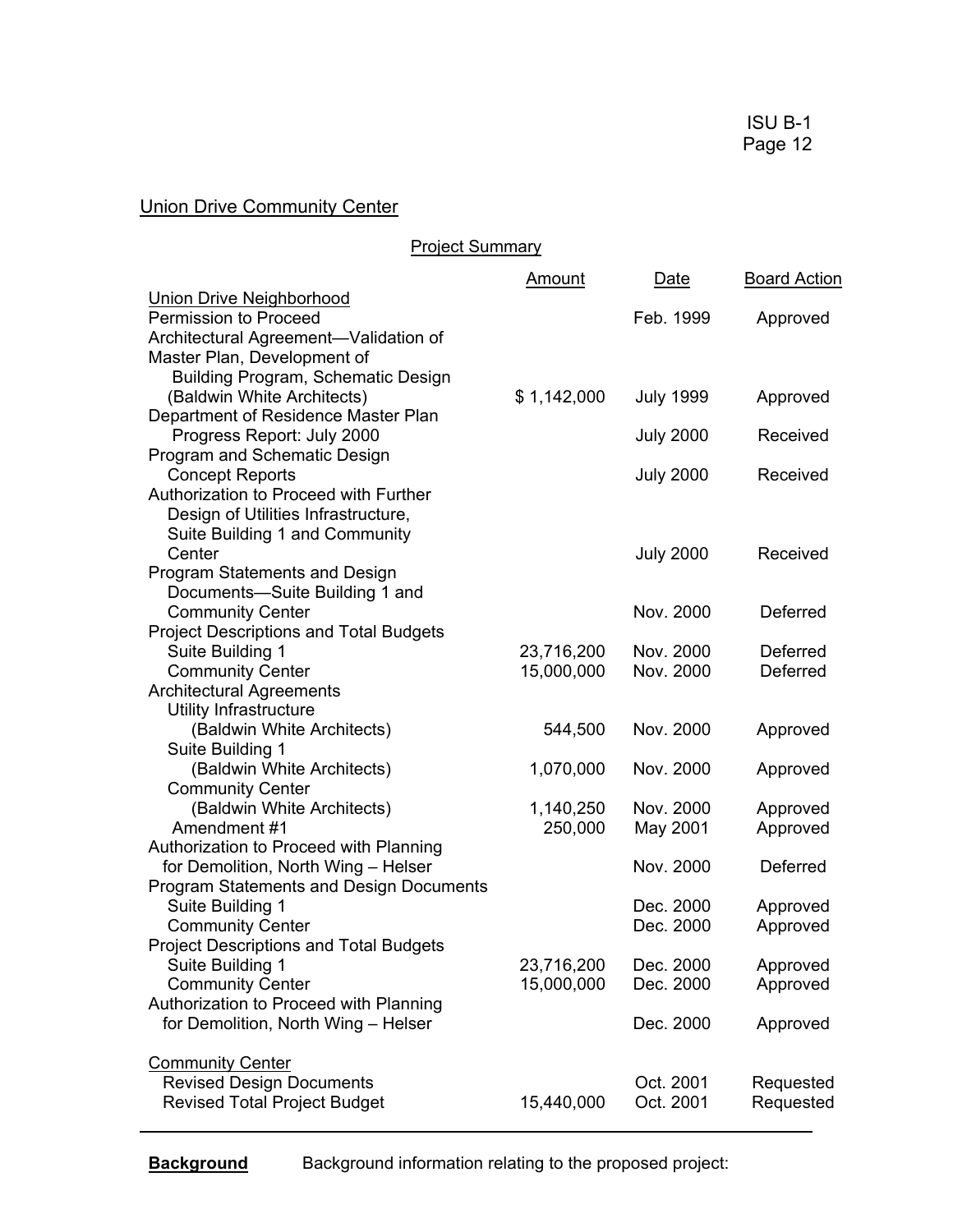# Union Drive Community Center

# Project Summary

|                                                | <u>Amount</u> | Date             | <b>Board Action</b> |
|------------------------------------------------|---------------|------------------|---------------------|
| <b>Union Drive Neighborhood</b>                |               |                  |                     |
| <b>Permission to Proceed</b>                   |               | Feb. 1999        | Approved            |
| Architectural Agreement-Validation of          |               |                  |                     |
| Master Plan, Development of                    |               |                  |                     |
| Building Program, Schematic Design             |               |                  |                     |
| (Baldwin White Architects)                     | \$1,142,000   | <b>July 1999</b> | Approved            |
| Department of Residence Master Plan            |               |                  |                     |
| Progress Report: July 2000                     |               | <b>July 2000</b> | Received            |
| Program and Schematic Design                   |               |                  |                     |
| <b>Concept Reports</b>                         |               | <b>July 2000</b> | Received            |
| Authorization to Proceed with Further          |               |                  |                     |
| Design of Utilities Infrastructure,            |               |                  |                     |
| Suite Building 1 and Community                 |               |                  |                     |
| Center                                         |               | <b>July 2000</b> | Received            |
| Program Statements and Design                  |               |                  |                     |
| Documents-Suite Building 1 and                 |               |                  |                     |
| <b>Community Center</b>                        |               | Nov. 2000        | <b>Deferred</b>     |
| <b>Project Descriptions and Total Budgets</b>  |               |                  |                     |
| Suite Building 1                               | 23,716,200    | Nov. 2000        | Deferred            |
| <b>Community Center</b>                        | 15,000,000    | Nov. 2000        | <b>Deferred</b>     |
| <b>Architectural Agreements</b>                |               |                  |                     |
| <b>Utility Infrastructure</b>                  |               |                  |                     |
| (Baldwin White Architects)                     | 544,500       | Nov. 2000        | Approved            |
| Suite Building 1                               |               |                  |                     |
| (Baldwin White Architects)                     | 1,070,000     | Nov. 2000        | Approved            |
| <b>Community Center</b>                        |               |                  |                     |
| (Baldwin White Architects)                     | 1,140,250     | Nov. 2000        | Approved            |
| Amendment #1                                   | 250,000       | May 2001         | Approved            |
| Authorization to Proceed with Planning         |               |                  |                     |
| for Demolition, North Wing - Helser            |               | Nov. 2000        | Deferred            |
| <b>Program Statements and Design Documents</b> |               |                  |                     |
| Suite Building 1                               |               | Dec. 2000        | Approved            |
| <b>Community Center</b>                        |               | Dec. 2000        | Approved            |
| <b>Project Descriptions and Total Budgets</b>  |               |                  |                     |
| Suite Building 1                               | 23,716,200    | Dec. 2000        | Approved            |
| <b>Community Center</b>                        | 15,000,000    | Dec. 2000        | Approved            |
| Authorization to Proceed with Planning         |               |                  |                     |
| for Demolition, North Wing - Helser            |               | Dec. 2000        | Approved            |
| <b>Community Center</b>                        |               |                  |                     |
| <b>Revised Design Documents</b>                |               | Oct. 2001        | Requested           |
| <b>Revised Total Project Budget</b>            | 15,440,000    | Oct. 2001        | Requested           |
|                                                |               |                  |                     |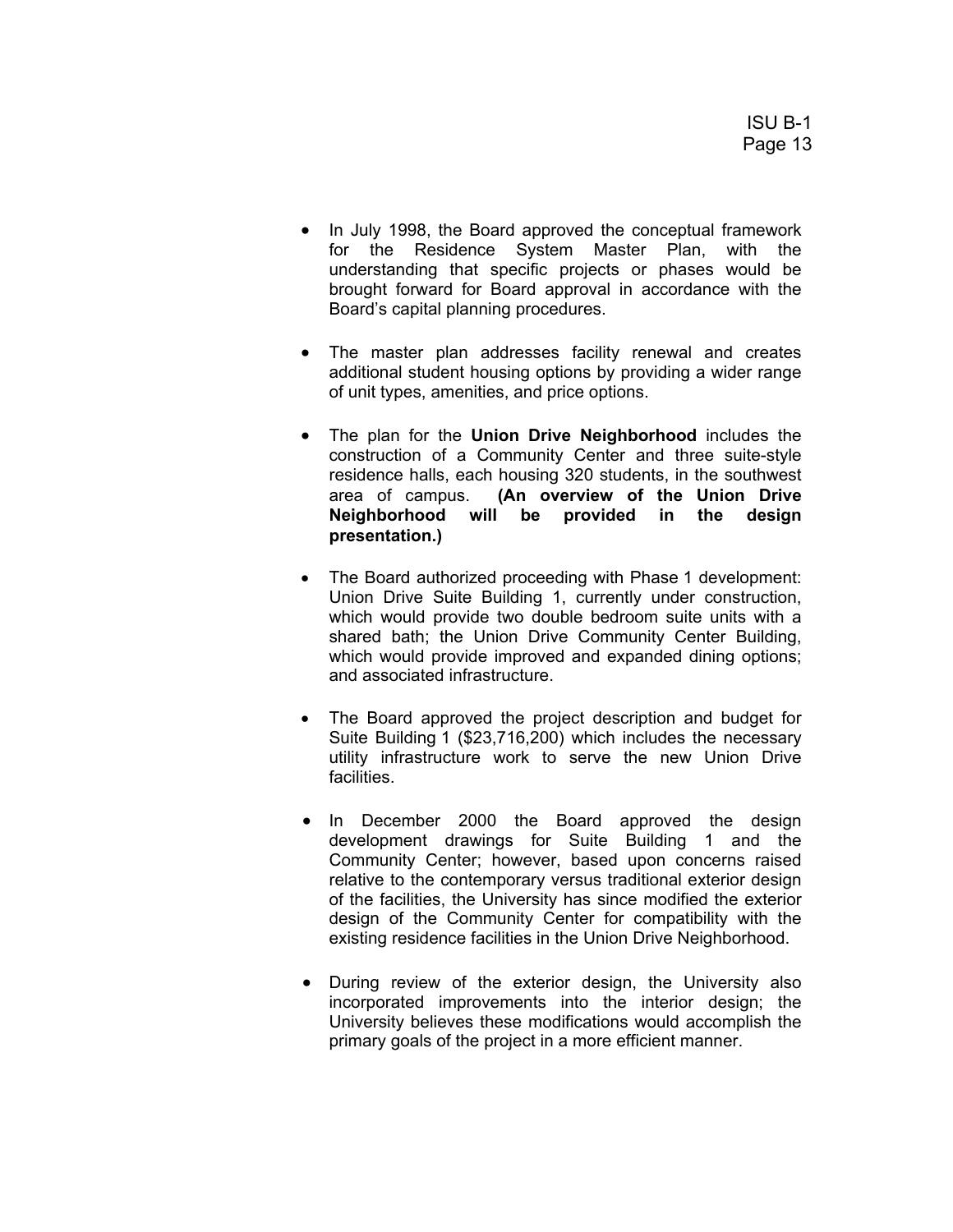- In July 1998, the Board approved the conceptual framework for the Residence System Master Plan, with the understanding that specific projects or phases would be brought forward for Board approval in accordance with the Board's capital planning procedures.
- The master plan addresses facility renewal and creates additional student housing options by providing a wider range of unit types, amenities, and price options.
- The plan for the **Union Drive Neighborhood** includes the construction of a Community Center and three suite-style residence halls, each housing 320 students, in the southwest area of campus. **(An overview of the Union Drive Neighborhood will be provided in the design presentation.)**
- The Board authorized proceeding with Phase 1 development: Union Drive Suite Building 1, currently under construction, which would provide two double bedroom suite units with a shared bath; the Union Drive Community Center Building, which would provide improved and expanded dining options; and associated infrastructure.
- The Board approved the project description and budget for Suite Building 1 (\$23,716,200) which includes the necessary utility infrastructure work to serve the new Union Drive facilities.
- In December 2000 the Board approved the design development drawings for Suite Building 1 and the Community Center; however, based upon concerns raised relative to the contemporary versus traditional exterior design of the facilities, the University has since modified the exterior design of the Community Center for compatibility with the existing residence facilities in the Union Drive Neighborhood.
- During review of the exterior design, the University also incorporated improvements into the interior design; the University believes these modifications would accomplish the primary goals of the project in a more efficient manner.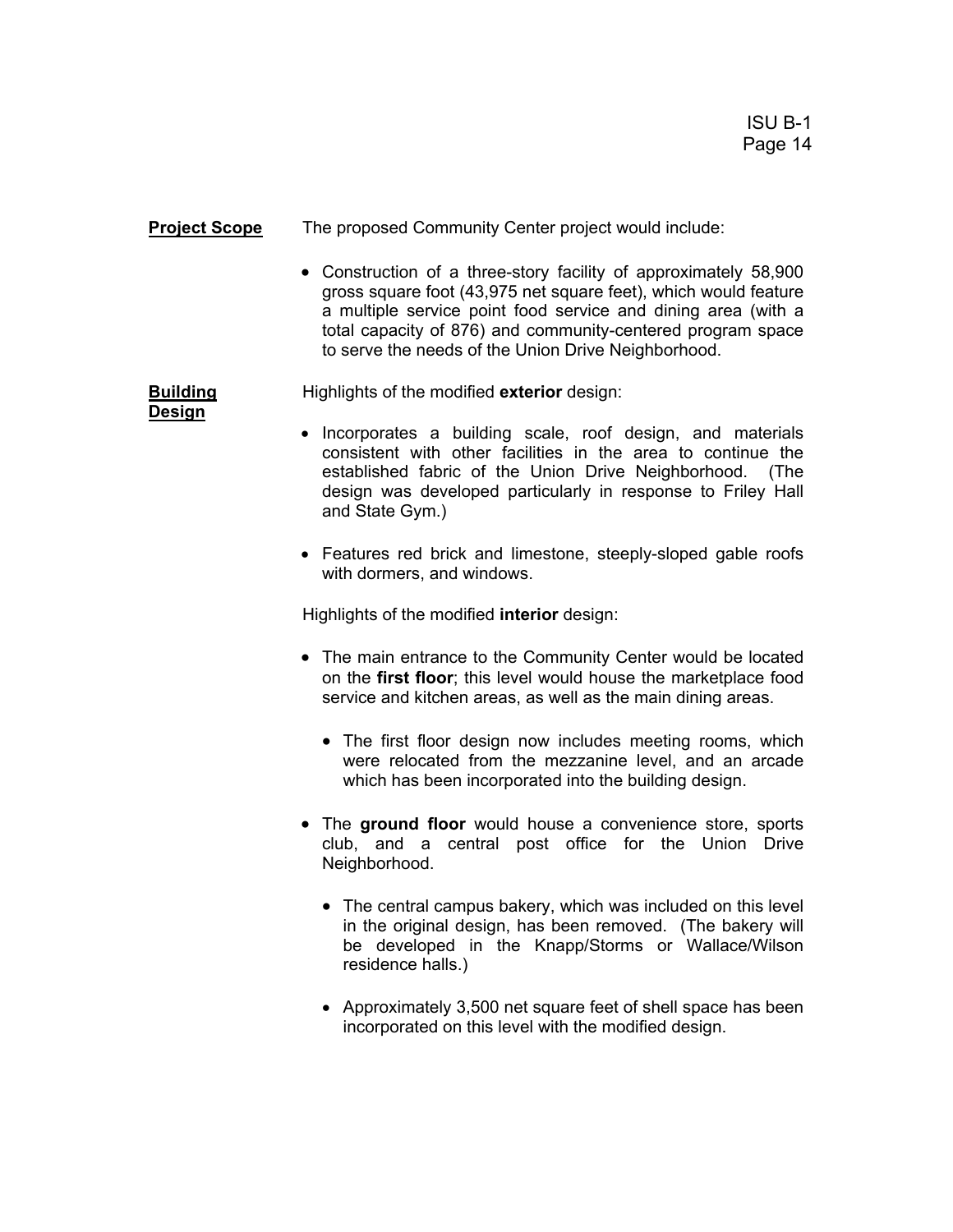#### **Project Scope** The proposed Community Center project would include:

• Construction of a three-story facility of approximately 58,900 gross square foot (43,975 net square feet), which would feature a multiple service point food service and dining area (with a total capacity of 876) and community-centered program space to serve the needs of the Union Drive Neighborhood.

**Building Highlights of the modified exterior** design:

**Design**

- Incorporates a building scale, roof design, and materials consistent with other facilities in the area to continue the established fabric of the Union Drive Neighborhood. (The design was developed particularly in response to Friley Hall and State Gym.)
- Features red brick and limestone, steeply-sloped gable roofs with dormers, and windows.

Highlights of the modified **interior** design:

- The main entrance to the Community Center would be located on the **first floor**; this level would house the marketplace food service and kitchen areas, as well as the main dining areas.
	- The first floor design now includes meeting rooms, which were relocated from the mezzanine level, and an arcade which has been incorporated into the building design.
- The **ground floor** would house a convenience store, sports club, and a central post office for the Union Drive Neighborhood.
	- The central campus bakery, which was included on this level in the original design, has been removed. (The bakery will be developed in the Knapp/Storms or Wallace/Wilson residence halls.)
	- Approximately 3,500 net square feet of shell space has been incorporated on this level with the modified design.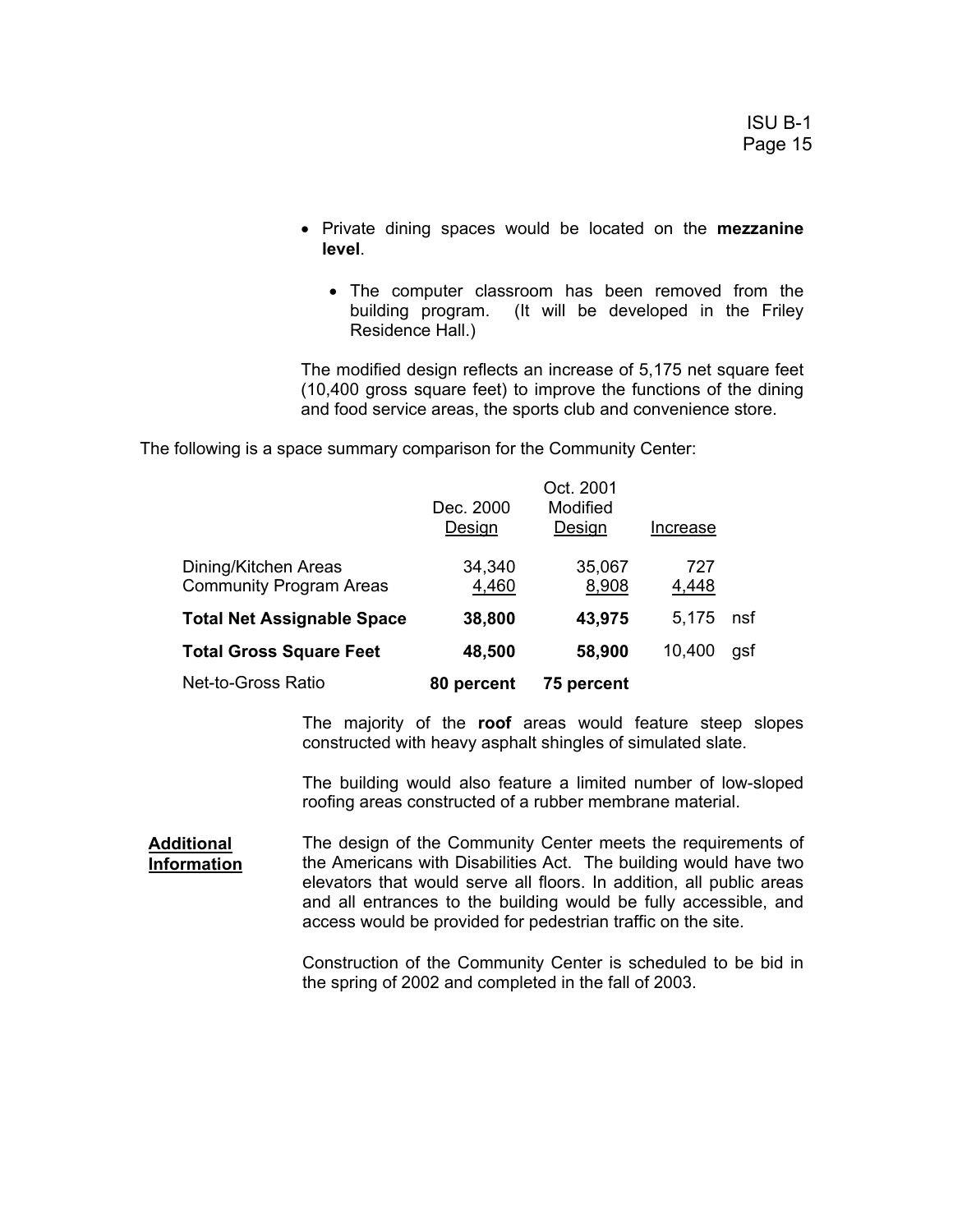- Private dining spaces would be located on the **mezzanine level**.
	- The computer classroom has been removed from the building program. (It will be developed in the Friley Residence Hall.)

The modified design reflects an increase of 5,175 net square feet (10,400 gross square feet) to improve the functions of the dining and food service areas, the sports club and convenience store.

The following is a space summary comparison for the Community Center:

|                                                        | Dec. 2000<br>Design | Oct. 2001<br>Modified<br>Design | Increase     |     |
|--------------------------------------------------------|---------------------|---------------------------------|--------------|-----|
| Dining/Kitchen Areas<br><b>Community Program Areas</b> | 34,340<br>4,460     | 35,067<br>8,908                 | 727<br>4,448 |     |
| <b>Total Net Assignable Space</b>                      | 38,800              | 43,975                          | 5.175        | nsf |
| <b>Total Gross Square Feet</b>                         | 48,500              | 58,900                          | 10,400       | gsf |
| Net-to-Gross Ratio                                     | 80 percent          | 75 percent                      |              |     |

The majority of the **roof** areas would feature steep slopes constructed with heavy asphalt shingles of simulated slate.

The building would also feature a limited number of low-sloped roofing areas constructed of a rubber membrane material.

**Additional Information** The design of the Community Center meets the requirements of the Americans with Disabilities Act. The building would have two elevators that would serve all floors. In addition, all public areas and all entrances to the building would be fully accessible, and access would be provided for pedestrian traffic on the site.

> Construction of the Community Center is scheduled to be bid in the spring of 2002 and completed in the fall of 2003.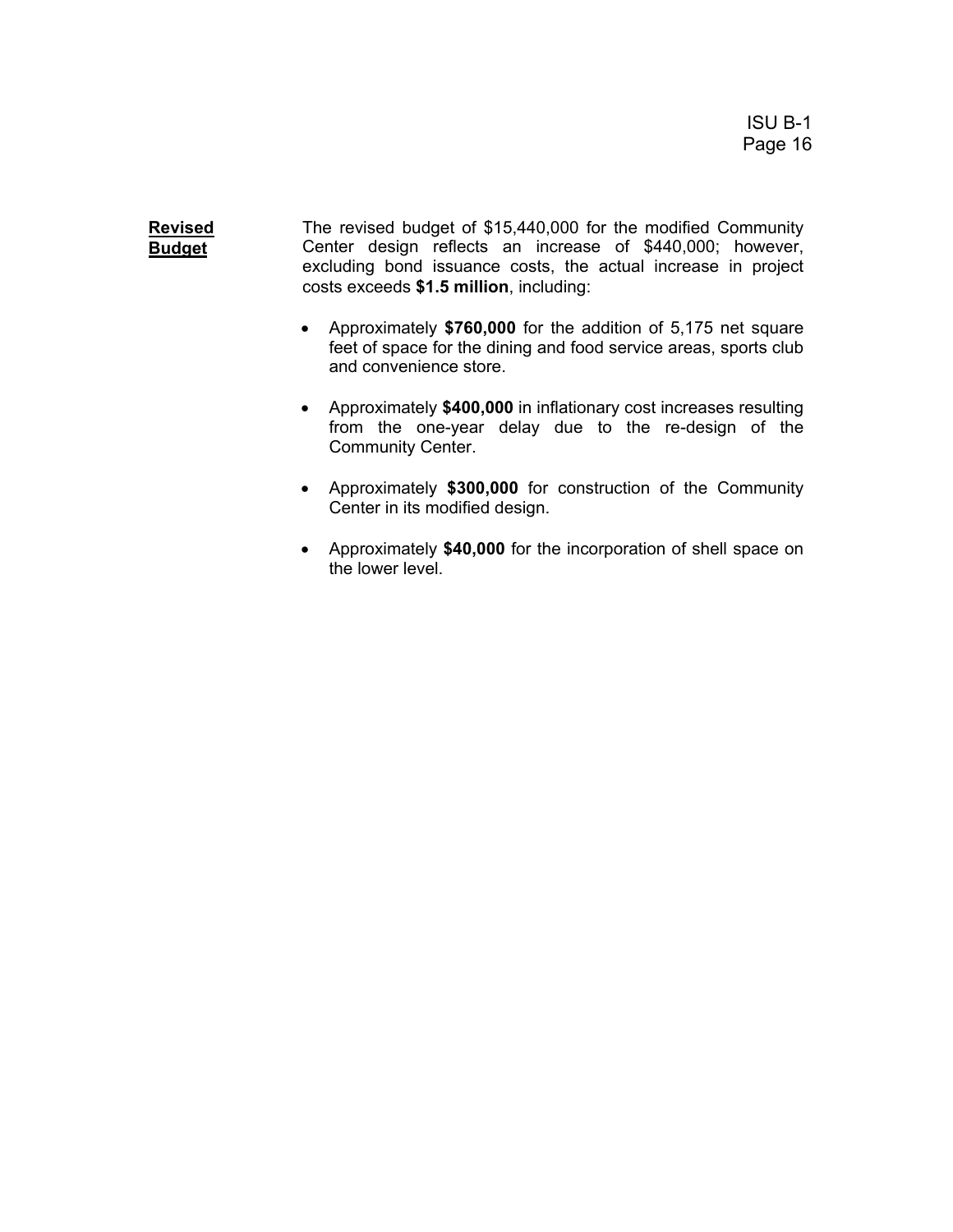**Revised Budget** The revised budget of \$15,440,000 for the modified Community Center design reflects an increase of \$440,000; however, excluding bond issuance costs, the actual increase in project costs exceeds **\$1.5 million**, including:

- Approximately **\$760,000** for the addition of 5,175 net square feet of space for the dining and food service areas, sports club and convenience store.
- Approximately **\$400,000** in inflationary cost increases resulting from the one-year delay due to the re-design of the Community Center.
- Approximately **\$300,000** for construction of the Community Center in its modified design.
- Approximately **\$40,000** for the incorporation of shell space on the lower level.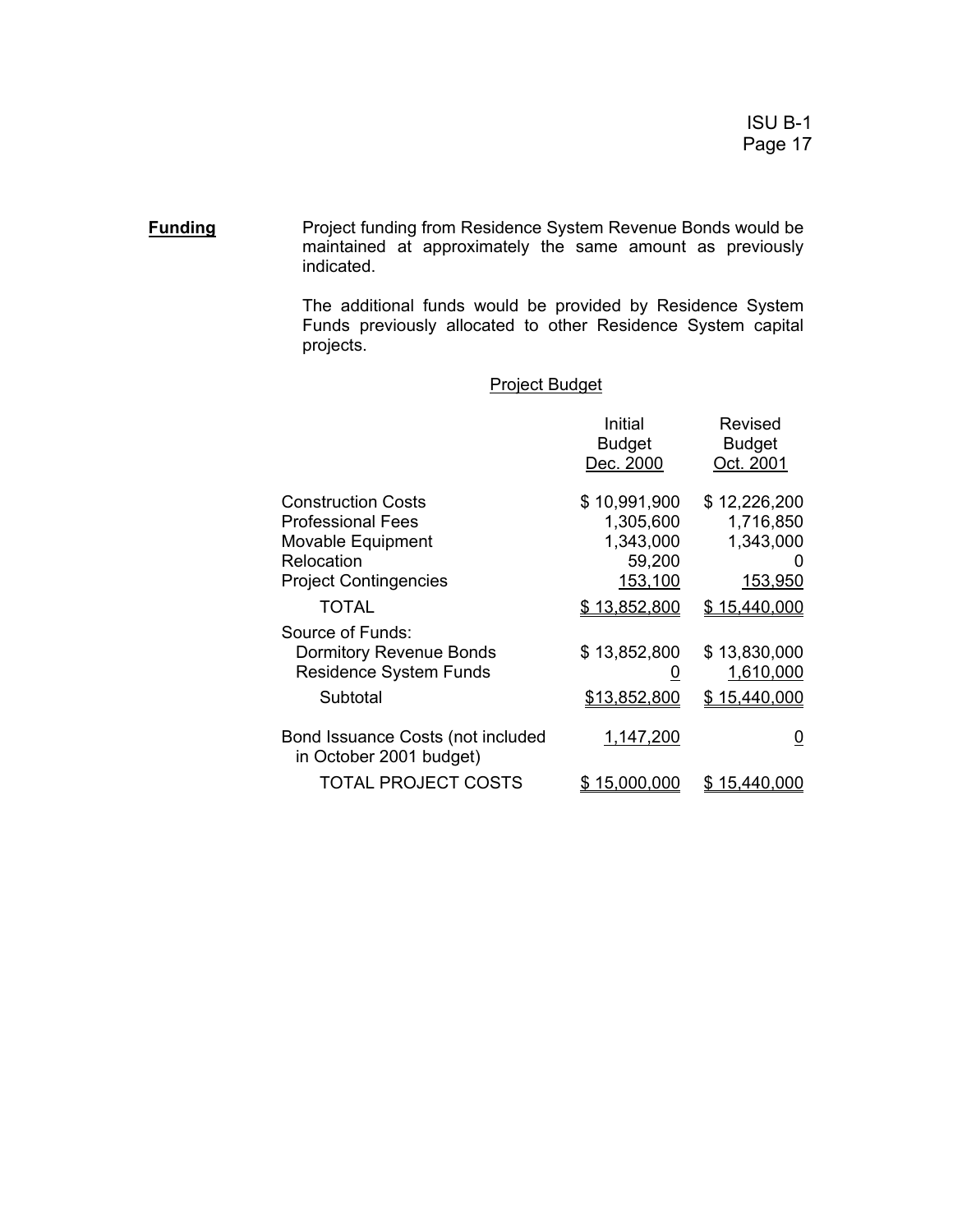**Funding** Project funding from Residence System Revenue Bonds would be maintained at approximately the same amount as previously indicated.

> The additional funds would be provided by Residence System Funds previously allocated to other Residence System capital projects.

|                                                                                                                          | Initial<br><b>Budget</b><br>Dec. 2000                       | <b>Revised</b><br><b>Budget</b><br>Oct. 2001                  |
|--------------------------------------------------------------------------------------------------------------------------|-------------------------------------------------------------|---------------------------------------------------------------|
| <b>Construction Costs</b><br><b>Professional Fees</b><br>Movable Equipment<br>Relocation<br><b>Project Contingencies</b> | \$10,991,900<br>1,305,600<br>1,343,000<br>59,200<br>153,100 | \$12,226,200<br>1,716,850<br>1,343,000<br>O<br><u>153,950</u> |
| TOTAL                                                                                                                    | \$13,852,800                                                | <u>\$15,440,000</u>                                           |
| Source of Funds:<br><b>Dormitory Revenue Bonds</b><br><b>Residence System Funds</b><br>Subtotal                          | \$13,852,800<br>U<br><u>\$13,852,800</u>                    | \$13,830,000<br>1,610,000<br><u>\$15,440,000</u>              |
| Bond Issuance Costs (not included<br>in October 2001 budget)                                                             | 1,147,200                                                   | <u>0</u>                                                      |
| <b>TOTAL PROJECT COSTS</b>                                                                                               | <u>15,000,000</u><br>\$                                     | \$15.440.000                                                  |

### Project Budget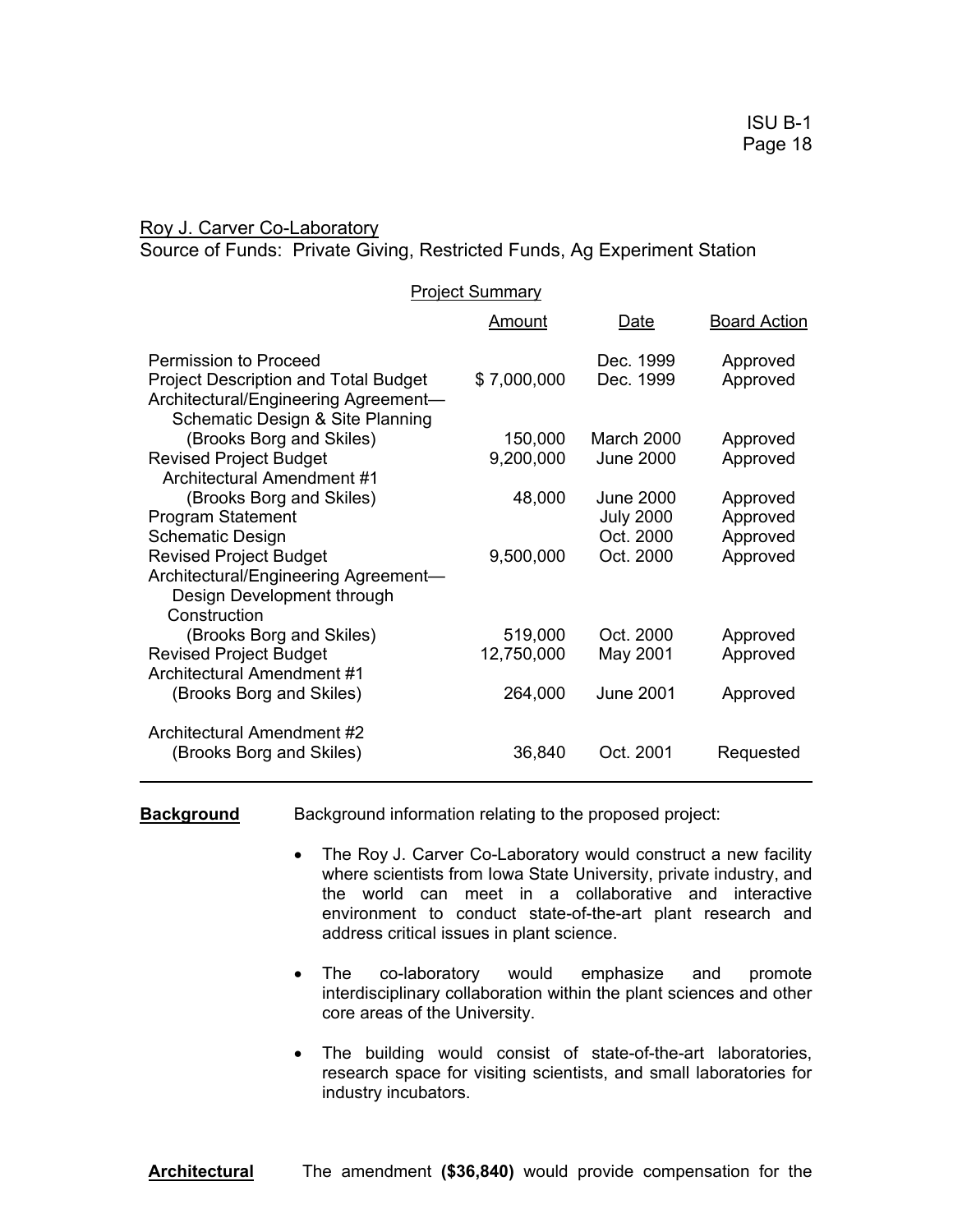Roy J. Carver Co-Laboratory

Source of Funds: Private Giving, Restricted Funds, Ag Experiment Station

| <b>Project Summary</b>                                                              |             |                  |                     |
|-------------------------------------------------------------------------------------|-------------|------------------|---------------------|
|                                                                                     | Amount      | Date             | <b>Board Action</b> |
| Permission to Proceed                                                               |             | Dec. 1999        | Approved            |
| <b>Project Description and Total Budget</b><br>Architectural/Engineering Agreement- | \$7,000,000 | Dec. 1999        | Approved            |
| Schematic Design & Site Planning                                                    |             |                  |                     |
| (Brooks Borg and Skiles)                                                            | 150,000     | March 2000       | Approved            |
| <b>Revised Project Budget</b>                                                       | 9,200,000   | <b>June 2000</b> | Approved            |
| Architectural Amendment #1                                                          |             |                  |                     |
| (Brooks Borg and Skiles)                                                            | 48,000      | <b>June 2000</b> | Approved            |
| <b>Program Statement</b>                                                            |             | <b>July 2000</b> | Approved            |
| <b>Schematic Design</b>                                                             |             | Oct. 2000        | Approved            |
| <b>Revised Project Budget</b>                                                       | 9,500,000   | Oct. 2000        | Approved            |
| Architectural/Engineering Agreement-<br>Design Development through                  |             |                  |                     |
| Construction                                                                        |             |                  |                     |
| (Brooks Borg and Skiles)                                                            | 519,000     | Oct. 2000        | Approved            |
| <b>Revised Project Budget</b>                                                       | 12,750,000  | May 2001         | Approved            |
| Architectural Amendment #1                                                          |             |                  |                     |
| (Brooks Borg and Skiles)                                                            | 264,000     | June 2001        | Approved            |
| Architectural Amendment #2                                                          |             |                  |                     |
| (Brooks Borg and Skiles)                                                            | 36,840      | Oct. 2001        | Requested           |

**Background** Background information relating to the proposed project:

- The Roy J. Carver Co-Laboratory would construct a new facility where scientists from Iowa State University, private industry, and the world can meet in a collaborative and interactive environment to conduct state-of-the-art plant research and address critical issues in plant science.
- The co-laboratory would emphasize and promote interdisciplinary collaboration within the plant sciences and other core areas of the University.
- The building would consist of state-of-the-art laboratories, research space for visiting scientists, and small laboratories for industry incubators.